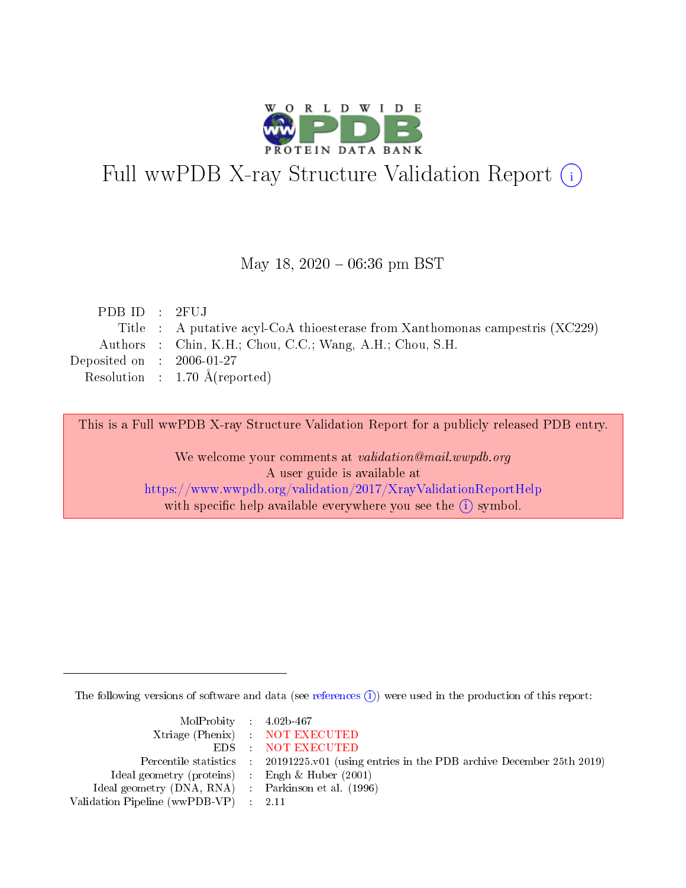

# Full wwPDB X-ray Structure Validation Report (i)

### May 18,  $2020 - 06:36$  pm BST

| PDBID : 2FUJ                |                                                                              |
|-----------------------------|------------------------------------------------------------------------------|
|                             | Title : A putative acyl-CoA thioesterase from Xanthomonas campestris (XC229) |
|                             | Authors : Chin, K.H.; Chou, C.C.; Wang, A.H.; Chou, S.H.                     |
| Deposited on : $2006-01-27$ |                                                                              |
|                             | Resolution : 1.70 $\AA$ (reported)                                           |

This is a Full wwPDB X-ray Structure Validation Report for a publicly released PDB entry.

We welcome your comments at validation@mail.wwpdb.org A user guide is available at <https://www.wwpdb.org/validation/2017/XrayValidationReportHelp> with specific help available everywhere you see the  $(i)$  symbol.

The following versions of software and data (see [references](https://www.wwpdb.org/validation/2017/XrayValidationReportHelp#references)  $\overline{(1)}$ ) were used in the production of this report:

| $MolProbability$ 4.02b-467                          |                                                                    |
|-----------------------------------------------------|--------------------------------------------------------------------|
|                                                     | Xtriage (Phenix) NOT EXECUTED                                      |
|                                                     | EDS : NOT EXECUTED                                                 |
| Percentile statistics :                             | 20191225.v01 (using entries in the PDB archive December 25th 2019) |
| Ideal geometry (proteins) :                         | Engh $\&$ Huber (2001)                                             |
| Ideal geometry (DNA, RNA) : Parkinson et al. (1996) |                                                                    |
| Validation Pipeline (wwPDB-VP) : 2.11               |                                                                    |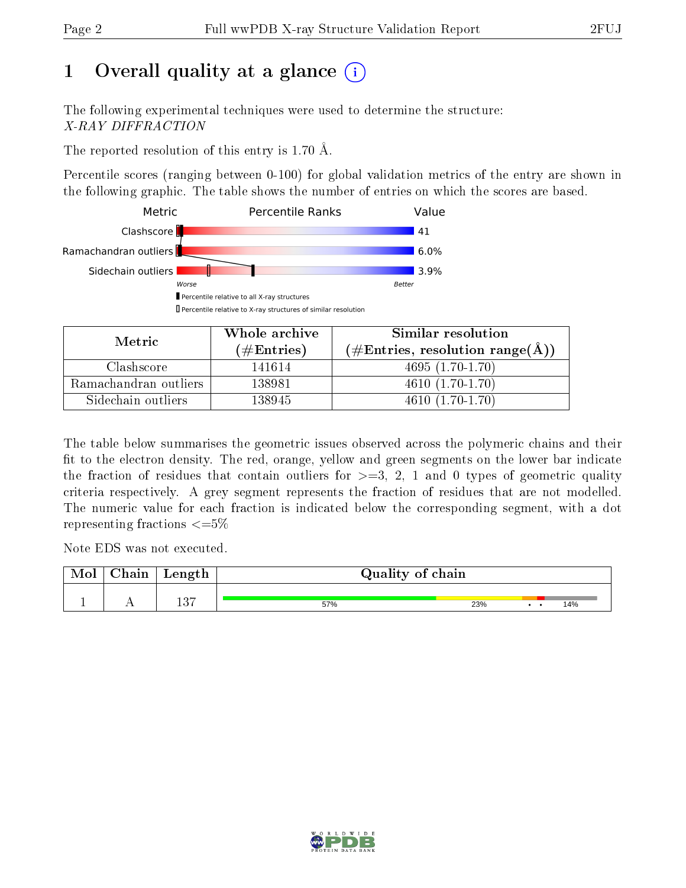# 1 [O](https://www.wwpdb.org/validation/2017/XrayValidationReportHelp#overall_quality)verall quality at a glance  $(i)$

The following experimental techniques were used to determine the structure: X-RAY DIFFRACTION

The reported resolution of this entry is 1.70 Å.

Percentile scores (ranging between 0-100) for global validation metrics of the entry are shown in the following graphic. The table shows the number of entries on which the scores are based.



| Metric                | Whole archive       | Similar resolution                                       |
|-----------------------|---------------------|----------------------------------------------------------|
|                       | (# $\rm{Entries}$ ) | $(\#\text{Entries}, \text{resolution range}(\text{\AA})$ |
| Clashscore            | 141614              | $4695(1.70-1.70)$                                        |
| Ramachandran outliers | 138981              | $4610(1.70-1.70)$                                        |
| Sidechain outliers    | 138945              | $4610(1.70-1.70)$                                        |

The table below summarises the geometric issues observed across the polymeric chains and their fit to the electron density. The red, orange, yellow and green segments on the lower bar indicate the fraction of residues that contain outliers for  $\geq=3$ , 2, 1 and 0 types of geometric quality criteria respectively. A grey segment represents the fraction of residues that are not modelled. The numeric value for each fraction is indicated below the corresponding segment, with a dot representing fractions  $\leq=5\%$ 

Note EDS was not executed.

| Mol | Chain | Length      | Quality of chain |     |  |  |     |
|-----|-------|-------------|------------------|-----|--|--|-----|
|     |       | ת הו<br>Iυ. | 57%              | 23% |  |  | 14% |

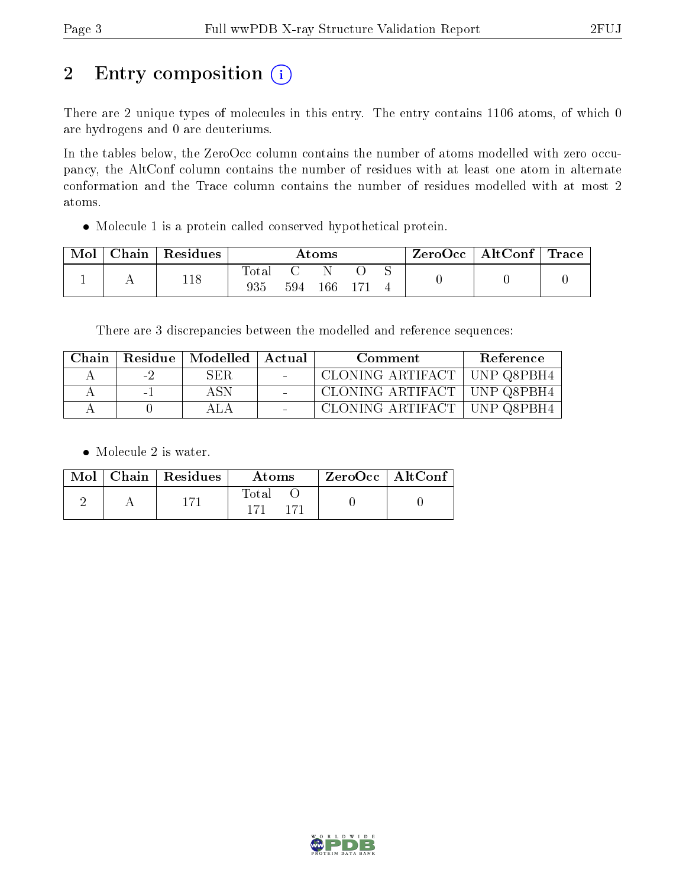# 2 Entry composition (i)

There are 2 unique types of molecules in this entry. The entry contains 1106 atoms, of which 0 are hydrogens and 0 are deuteriums.

In the tables below, the ZeroOcc column contains the number of atoms modelled with zero occupancy, the AltConf column contains the number of residues with at least one atom in alternate conformation and the Trace column contains the number of residues modelled with at most 2 atoms.

Molecule 1 is a protein called conserved hypothetical protein.

| Mol | Chain   Residues | $\rm{Atoms}$ |     |     |  |  | ZeroOcc   AltConf   Trace |  |
|-----|------------------|--------------|-----|-----|--|--|---------------------------|--|
|     | 118              | Total<br>935 | 594 | 166 |  |  |                           |  |

There are 3 discrepancies between the modelled and reference sequences:

| Chain |     | Residue   Modelled   Actual | Comment                       | Reference |
|-------|-----|-----------------------------|-------------------------------|-----------|
|       | - 2 | SER.                        | CLONING ARTIFACT   UNP Q8PBH4 |           |
|       | ÷.  | A SN                        | CLONING ARTIFACT   UNP Q8PBH4 |           |
|       |     |                             | CLONING ARTIFACT   UNP Q8PBH4 |           |

• Molecule 2 is water.

|  | Mol   Chain   Residues | Atoms       | ZeroOcc   AltConf |
|--|------------------------|-------------|-------------------|
|  |                        | $\rm Total$ |                   |

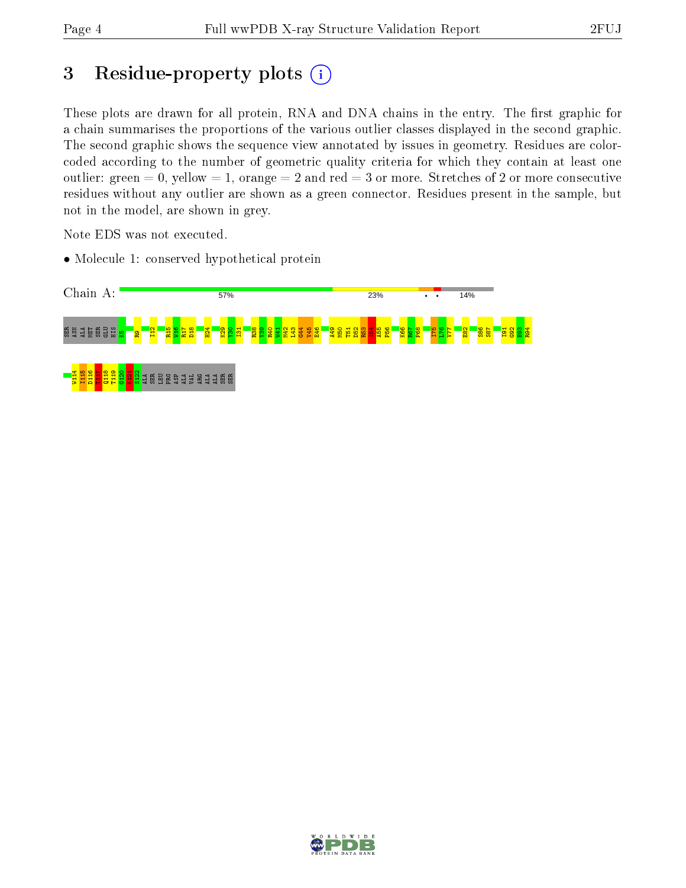# 3 Residue-property plots  $(i)$

These plots are drawn for all protein, RNA and DNA chains in the entry. The first graphic for a chain summarises the proportions of the various outlier classes displayed in the second graphic. The second graphic shows the sequence view annotated by issues in geometry. Residues are colorcoded according to the number of geometric quality criteria for which they contain at least one outlier: green  $= 0$ , yellow  $= 1$ , orange  $= 2$  and red  $= 3$  or more. Stretches of 2 or more consecutive residues without any outlier are shown as a green connector. Residues present in the sample, but not in the model, are shown in grey.

Note EDS was not executed.

• Molecule 1: conserved hypothetical protein



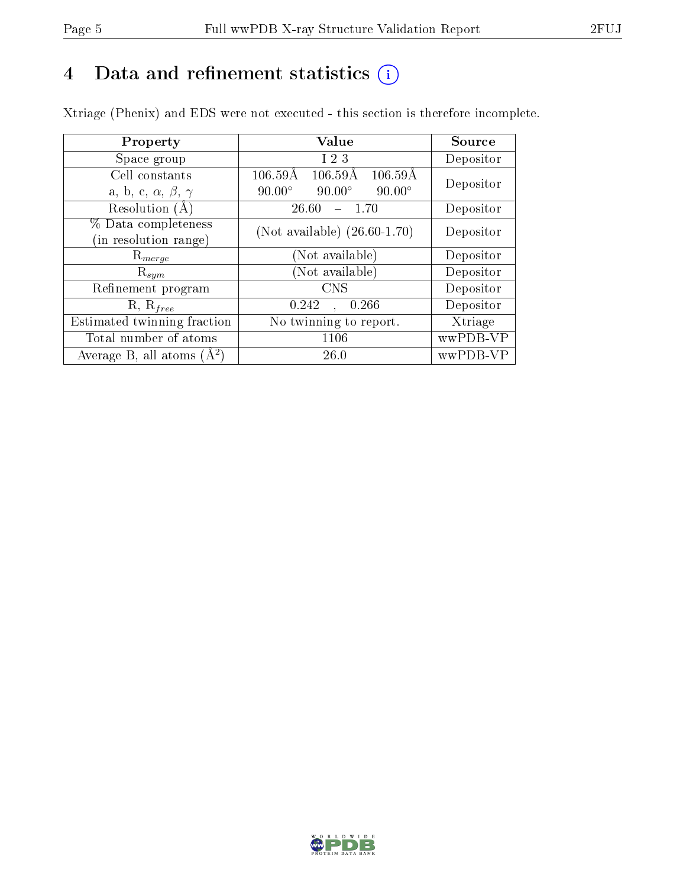# 4 Data and refinement statistics  $(i)$

Xtriage (Phenix) and EDS were not executed - this section is therefore incomplete.

| Property                               | Value                                                          | Source    |  |
|----------------------------------------|----------------------------------------------------------------|-----------|--|
| Space group                            | I <sub>23</sub>                                                | Depositor |  |
| Cell constants                         | $106.59\text{\AA}$<br>$106.59\text{\AA}$<br>$106.59\text{\AA}$ |           |  |
| a, b, c, $\alpha$ , $\beta$ , $\gamma$ | $90.00^\circ$<br>$90.00^\circ$<br>$90.00^\circ$                | Depositor |  |
| Resolution (A)                         | 26.60<br>$-1.70$                                               | Depositor |  |
| % Data completeness                    | (Not available) $(26.60-1.70)$                                 | Depositor |  |
| in resolution range)                   |                                                                |           |  |
| $\mathrm{R}_{merge}$                   | (Not available)                                                | Depositor |  |
| $\mathrm{R}_{sym}$                     | (Not available)                                                | Depositor |  |
| Refinement program                     | <b>CNS</b>                                                     | Depositor |  |
| $R, R_{free}$                          | 0.266<br>0.242                                                 | Depositor |  |
| Estimated twinning fraction            | No twinning to report.                                         | Xtriage   |  |
| Total number of atoms                  | 1106                                                           | wwPDB-VP  |  |
| Average B, all atoms $(A^2)$           | 26.0                                                           | wwPDB-VP  |  |

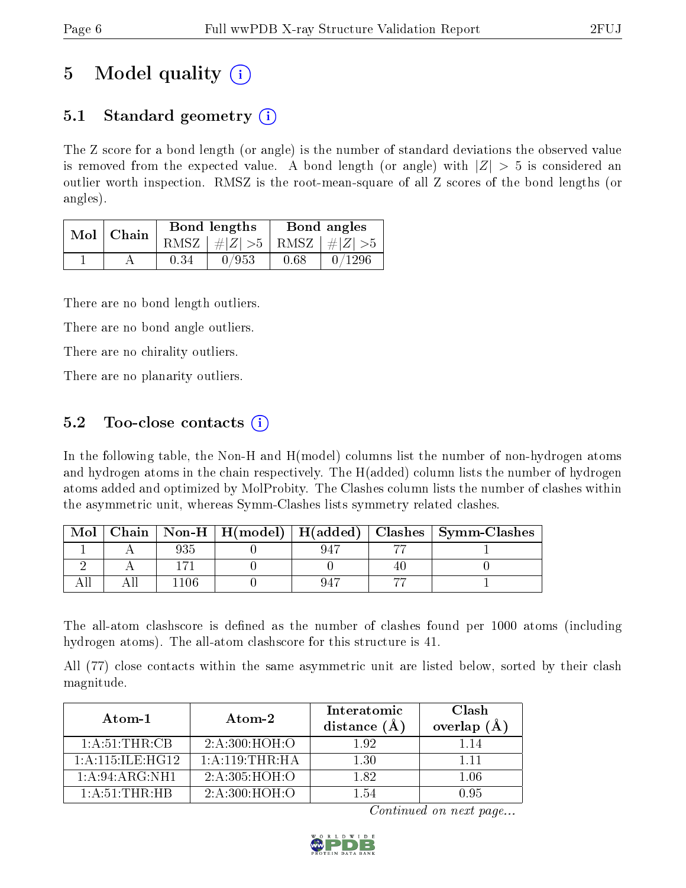# 5 Model quality  $(i)$

# 5.1 Standard geometry  $(i)$

The Z score for a bond length (or angle) is the number of standard deviations the observed value is removed from the expected value. A bond length (or angle) with  $|Z| > 5$  is considered an outlier worth inspection. RMSZ is the root-mean-square of all Z scores of the bond lengths (or angles).

| Mol | Chain |      | <b>Bond lengths</b>        | Bond angles |        |  |
|-----|-------|------|----------------------------|-------------|--------|--|
|     |       | RMSZ | $\#Z  > 5$ RMSZ $\#Z  > 5$ |             |        |  |
|     |       | 0.34 | 0/953                      | 0.68        | 0/1296 |  |

There are no bond length outliers.

There are no bond angle outliers.

There are no chirality outliers.

There are no planarity outliers.

## 5.2 Too-close contacts  $(i)$

In the following table, the Non-H and H(model) columns list the number of non-hydrogen atoms and hydrogen atoms in the chain respectively. The H(added) column lists the number of hydrogen atoms added and optimized by MolProbity. The Clashes column lists the number of clashes within the asymmetric unit, whereas Symm-Clashes lists symmetry related clashes.

| Mol |  |  | Chain   Non-H   H(model)   H(added)   Clashes   Symm-Clashes |
|-----|--|--|--------------------------------------------------------------|
|     |  |  |                                                              |
|     |  |  |                                                              |
|     |  |  |                                                              |

The all-atom clashscore is defined as the number of clashes found per 1000 atoms (including hydrogen atoms). The all-atom clashscore for this structure is 41.

All (77) close contacts within the same asymmetric unit are listed below, sorted by their clash magnitude.

| $Atom-1$            | Atom-2                     | Interatomic<br>distance $(A)$ | Clash<br>overlap $(A)$ |
|---------------------|----------------------------|-------------------------------|------------------------|
| 1: A:51:THR:CB      | 2: A:300:HOH:O             | 192                           |                        |
| 1: A:115: ILE: HG12 | 1: A:119:THR:HA            | 1.30                          | 1 1 1                  |
| 1: A:94: ARG:NH1    | $2:A:305:H\overline{OH:O}$ | 182                           | 1.06                   |
| 1: A:51:THR:HB      | 2: A:300:HOH:O             | 154                           | 195                    |

Continued on next page...

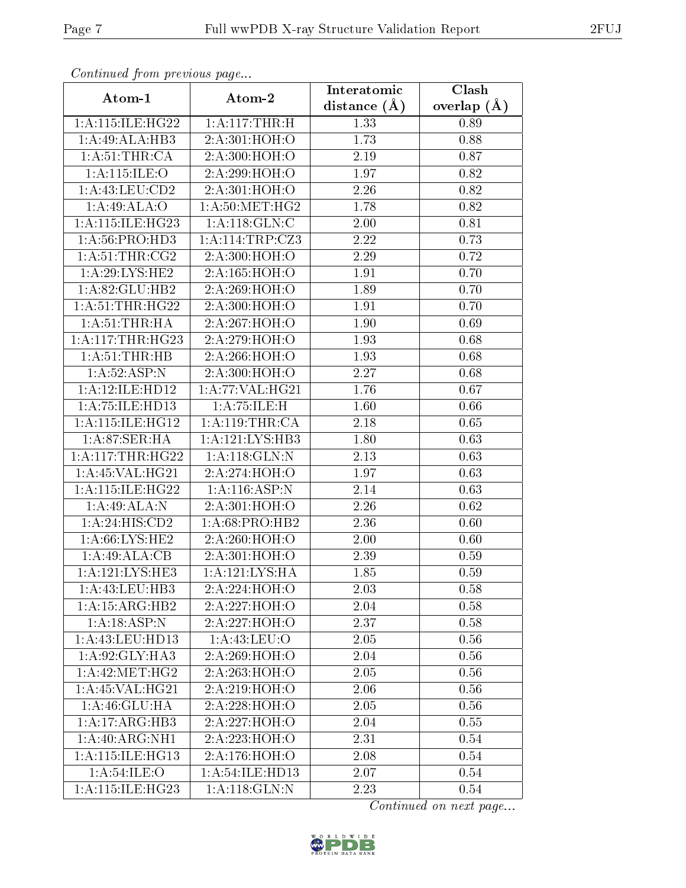| Continued from previous page |                                           | Interatomic    | Clash         |
|------------------------------|-------------------------------------------|----------------|---------------|
| Atom-1                       | Atom-2                                    | distance $(A)$ | overlap $(A)$ |
| 1: A:115: ILE: HG22          | 1: A:117:THR:H                            | 1.33           | 0.89          |
| 1:A:49:ALA:HB3               | 2:A:301:HOH:O                             | 1.73           | 0.88          |
| 1: A:51:THR:CA               | 2:A:300:HOH:O                             | 2.19           | 0.87          |
| 1:A:115:ILE:O                | 2:A:299:HOH:O                             | 1.97           | 0.82          |
| 1:A:43:LEU:CD2               | 2:A:301:HOH:O                             | 2.26           | 0.82          |
| 1:A:49:ALA:O                 | 1:A:50:MET:HG2                            | 1.78           | 0.82          |
| 1:A:115:ILE:HG23             | 1: A:118: GLN: C                          | 2.00           | 0.81          |
| 1:A:56:PRO:HD3               | $1:$ A:114:TRP:CZ3                        | 2.22           | 0.73          |
| 1: A:51:THR:CG2              | 2:A:300:HOH:O                             | 2.29           | 0.72          |
| 1: A:29: LYS: HE2            | 2:A:165:HOH:O                             | 1.91           | 0.70          |
| 1:A:82:GLU:HB2               | 2:A:269:HOH:O                             | 1.89           | 0.70          |
| 1: A:51:THR:HG22             | 2:A:300:HOH:O                             | 1.91           | 0.70          |
| 1: A:51:THR:HA               | 2:A:267:HOH:O                             | 1.90           | 0.69          |
| 1: A:117:THR:HG23            | 2:A:279:HOH:O                             | 1.93           | 0.68          |
| 1: A: 51: THEN: HB           | 2:A:266:HOH:O                             | 1.93           | 0.68          |
| 1:A:52:ASP:N                 | 2:A:300:HOH:O                             | 2.27           | 0.68          |
| 1:A:12:ILE:HD12              | 1: A:77: VAL:HG21                         | 1.76           | 0.67          |
| 1: A: 75: ILE: HD13          | 1:A:75:ILE:H                              | 1.60           | 0.66          |
| 1:A:115:ILE:HG12             | 1: A:119:THR:CA                           | 2.18           | 0.65          |
| 1: A:87:SER:HA               | 1:A:121:LYS:HB3                           | 1.80           | 0.63          |
| 1: A:117:THR:HG22            | 1:A:118:GLN:N                             | 2.13           | 0.63          |
| 1: A:45: VAL:HG21            | 2:A:274:HOH:O                             | 1.97           | 0.63          |
| 1: A:115: ILE: HG22          | 1:A:116:ASP:N                             | 2.14           | 0.63          |
| 1:A:49:ALA:N                 | 2:A:301:HOH:O                             | 2.26           | 0.62          |
| 1:A:24:HIS:CD2               | 1: A:68: PRO:HB2                          | 2.36           | 0.60          |
| 1: A:66: LYS: HE2            | 2:A:260:HOH:O                             | 2.00           | 0.60          |
| 1:A:49:ALA:CB                | 2:A:301:HOH:O                             | 2.39           | 0.59          |
| 1: A: 121: LYS: HE3          | $1:\!A\!:\!121:\!LYS\!:\!\overline{\!HA}$ | 1.85           | 0.59          |
| 1:A:43:LEU:HB3               | 2:A:224:HOH:O                             | 2.03           | 0.58          |
| 1:A:15:ARG:HB2               | 2:A:227:HOH:O                             | 2.04           | 0.58          |
| 1:A:18:ASP:N                 | 2:A:227:HOH:O                             | 2.37           | 0.58          |
| 1: A: 43: LEU: HD13          | 1:A:43:LEU:O                              | 2.05           | 0.56          |
| 1:A:92:GLY:HA3               | 2:A:269:HOH:O                             | 2.04           | 0.56          |
| 1: A:42:MET:HG2              | 2:A:263:HOH:O                             | 2.05           | 0.56          |
| 1: A:45: VAL:HG21            | 2:A:219:HOH:O                             | 2.06           | 0.56          |
| 1: A:46: GLU: HA             | 2:A:228:HOH:O                             | 2.05           | 0.56          |
| 1:A:17:ARG:HB3               | 2:A:227:HOH:O                             | 2.04           | 0.55          |
| 1: A:40: ARG: NH1            | 2:A:223:HOH:O                             | 2.31           | 0.54          |
| 1: A:115: ILE: HG13          | 2:A:176:HOH:O                             | 2.08           | 0.54          |
| 1: A:54:ILE:O                | 1:A:54:ILE:HD13                           | 2.07           | 0.54          |
| 1:A:115:ILE:HG23             | 1:A:118:GLN:N                             | 2.23           | 0.54          |

Continued from previous page.

Continued on next page...

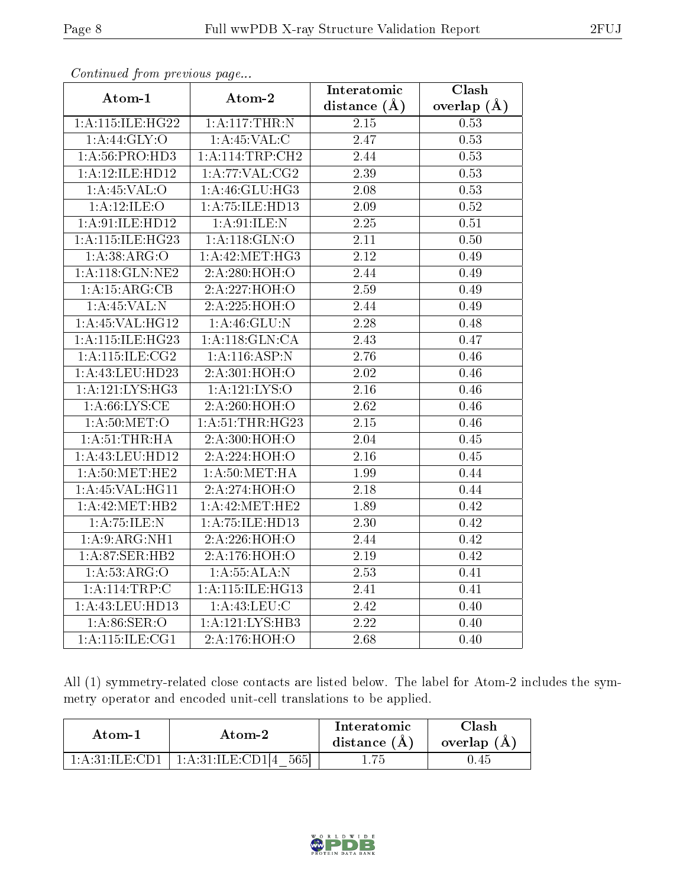| contentwow from procto we page        |                             | Interatomic       | Clash           |  |
|---------------------------------------|-----------------------------|-------------------|-----------------|--|
| Atom-1                                | Atom-2                      | distance $(A)$    | overlap $(\AA)$ |  |
| 1:A:115:ILE:HG22                      | 1: A:117:THR:N              | $2.15\,$          | 0.53            |  |
| 1:A:44:GLY:O                          | 1: A:45:VAL: C              | 2.47              | 0.53            |  |
| 1:A:56:PRO:HD3                        | 1: A:114:TRP:CH2            | 2.44              | 0.53            |  |
| 1:A:12:ILE:HD12                       | 1: A:77: VAL: CG2           | 2.39              | 0.53            |  |
| 1:A:45:VAL:O                          | 1:A:46:GLU:HG3              | $\overline{2.08}$ | 0.53            |  |
| 1: A:12: ILE: O                       | 1:A:75:ILE:HD13             | 2.09              | $0.52\,$        |  |
| 1:A:91:ILE:HD12                       | 1: A:91: ILE:N              | $\overline{2.25}$ | 0.51            |  |
| 1:A:115:ILE:HG23                      | 1: A:118: GLN:O             | 2.11              | 0.50            |  |
| 1: A:38: ARG:O                        | 1:A:42:MET:HG3              | 2.12              | 0.49            |  |
| 1:A:118:GLN:NE2                       | 2:A:280:HOH:O               | 2.44              | 0.49            |  |
| 1:A:15:ARG:CB                         | 2:A:227:HOH:O               | $\overline{2.59}$ | 0.49            |  |
| 1: A:45:VAL: N                        | 2:A:225:HOH:O               | 2.44              | 0.49            |  |
| 1: A:45: VAL:HG12                     | 1: A:46: GLU:N              | 2.28              | 0.48            |  |
| 1:A:115:ILE:HG23                      | $1:A:118:\overline{GLN:CA}$ | 2.43              | 0.47            |  |
| 1: A:115: ILE: CG2                    | 1:A:116:ASP:N               | 2.76              | 0.46            |  |
| 1:A:43:LEU:HD23                       | 2:A:301:HOH:O               | $\overline{2.02}$ | 0.46            |  |
| 1: A: 121: LYS: HG3                   | 1: A: 121: LYS: O           | $\overline{2.16}$ | 0.46            |  |
| 1: A:66: LYS:CE                       | 2:A:260:HOH:O               | 2.62              | 0.46            |  |
| 1: A:50: MET:O                        | 1:A:51:THR:HG23             | 2.15              | 0.46            |  |
| 1: A:51:THR:HA                        | 2:A:300:HOH:O               | 2.04              | 0.45            |  |
| 1: A: 43: LEU: HD12                   | 2:A:224:HOH:O               | $\overline{2.16}$ | 0.45            |  |
| 1: A:50:MET:HE2                       | 1: A:50:MET:HA              | 1.99              | 0.44            |  |
| 1:A:45:VAL:HG11                       | 2:A:274:HOH:O               | 2.18              | 0.44            |  |
| 1: A: 42: MET: HB2                    | 1:A:42:MET:HE2              | 1.89              | 0.42            |  |
| 1:A:75:ILE:N                          | 1:A:75:ILE:HD13             | 2.30              | 0.42            |  |
| 1: A:9: ARG: NH1                      | 2:A:226:HOH:O               | 2.44              | 0.42            |  |
| 1: A:87: SER:HB2                      | 2:A:176:HOH:O               | 2.19              | 0.42            |  |
| 1: A:53: ARG:O                        | 1: A: 55: ALA: N            | $\overline{2.53}$ | 0.41            |  |
| 1: A: 114: TRP: C                     | 1: A:115: ILE: HG13         | 2.41              | 0.41            |  |
| 1: A: 43: LEU: HD13                   | 1: A: 43: LEU: C            | 2.42              | 0.40            |  |
| 1: A:86: SER:O                        | 1:A:121:LYS:HB3             | 2.22              | 0.40            |  |
| $1: A:115: \overline{\text{ILE:CG1}}$ | 2:A:176:HOH:O               | 2.68              | 0.40            |  |

Continued from previous page.

All (1) symmetry-related close contacts are listed below. The label for Atom-2 includes the symmetry operator and encoded unit-cell translations to be applied.

| Atom-1                             | Atom-2                     | Interatomic<br>distance $(A)$ | Clash<br>overlap $(A)$ |
|------------------------------------|----------------------------|-------------------------------|------------------------|
| $-1:$ A $:$ 31:H.E $\cdot$ CD1 $-$ | 1:A:31:ILE:CD1[4]<br>-5651 | 75                            | J.45                   |

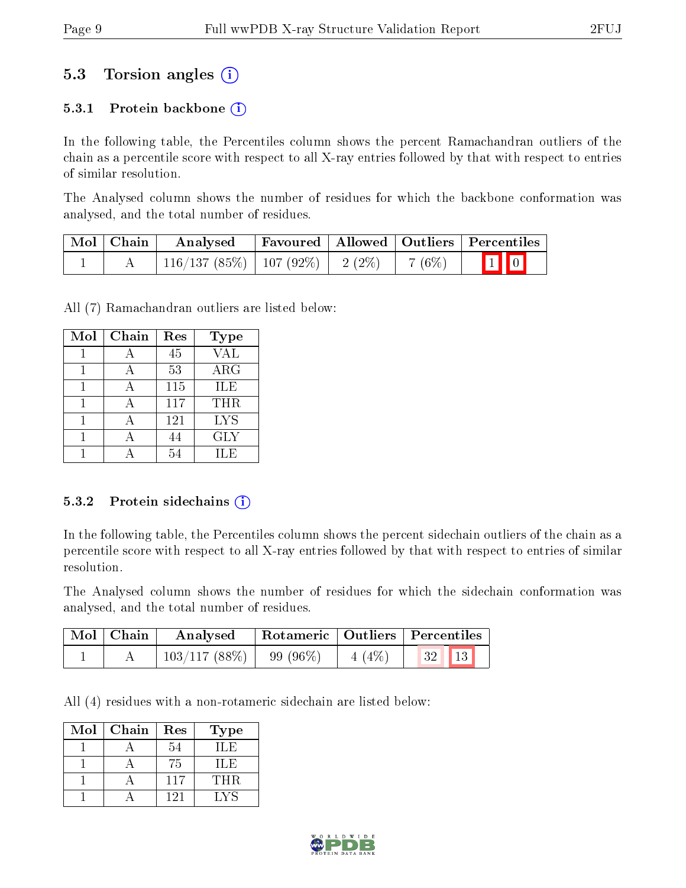# 5.3 Torsion angles (i)

### 5.3.1 Protein backbone  $(i)$

In the following table, the Percentiles column shows the percent Ramachandran outliers of the chain as a percentile score with respect to all X-ray entries followed by that with respect to entries of similar resolution.

The Analysed column shows the number of residues for which the backbone conformation was analysed, and the total number of residues.

| Mol   Chain | Analysed                               |  |         | $\perp$ Favoured   Allowed   Outliers   Percentiles |
|-------------|----------------------------------------|--|---------|-----------------------------------------------------|
|             | $116/137(85\%)$   107 (92\%)   2 (2\%) |  | 7 (6\%) | $\boxed{1}$ $\boxed{0}$                             |

All (7) Ramachandran outliers are listed below:

| Mol | Chain | Res | <b>Type</b> |
|-----|-------|-----|-------------|
|     |       | 45  | <b>VAL</b>  |
|     |       | 53  | $\rm{ARG}$  |
|     |       | 115 | ILE         |
|     |       | 117 | THR.        |
|     |       | 121 | <b>LYS</b>  |
|     |       | 44  | <b>GLY</b>  |
|     |       | 5/  | H.E         |

#### 5.3.2 Protein sidechains  $(i)$

In the following table, the Percentiles column shows the percent sidechain outliers of the chain as a percentile score with respect to all X-ray entries followed by that with respect to entries of similar resolution.

The Analysed column shows the number of residues for which the sidechain conformation was analysed, and the total number of residues.

| Mol   Chain | Analysed                               | Rotameric   Outliers   Percentiles |  |
|-------------|----------------------------------------|------------------------------------|--|
|             | $103/117$ (88\%)   99 (96\%)   4 (4\%) |                                    |  |

All (4) residues with a non-rotameric sidechain are listed below:

| Mol | $C$ hain | Res | Type |
|-----|----------|-----|------|
|     |          | 54  | H.E  |
|     |          | 75  | H.E  |
|     |          | 117 | THR. |
|     |          | 121 | LVS  |

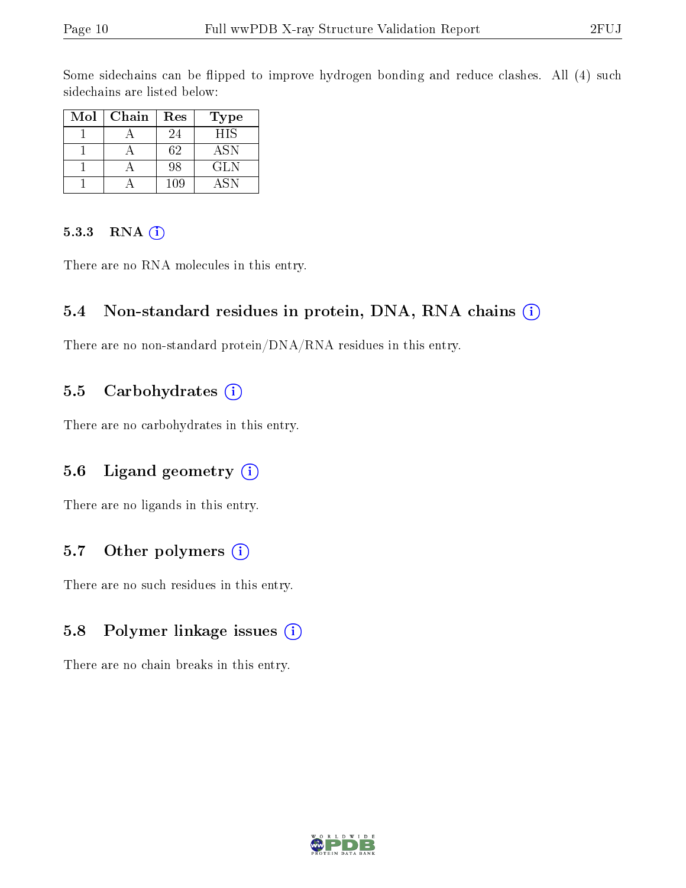Some sidechains can be flipped to improve hydrogen bonding and reduce clashes. All (4) such sidechains are listed below:

| Mol | Chain | Res | Type       |
|-----|-------|-----|------------|
|     |       | 24  | <b>HIS</b> |
|     |       | 62  | ASN        |
|     |       | 98  | GL N       |
|     |       | 109 | ASN        |

#### 5.3.3 RNA (i)

There are no RNA molecules in this entry.

#### 5.4 Non-standard residues in protein, DNA, RNA chains (i)

There are no non-standard protein/DNA/RNA residues in this entry.

### 5.5 Carbohydrates  $(i)$

There are no carbohydrates in this entry.

## 5.6 Ligand geometry  $(i)$

There are no ligands in this entry.

## 5.7 [O](https://www.wwpdb.org/validation/2017/XrayValidationReportHelp#nonstandard_residues_and_ligands)ther polymers  $(i)$

There are no such residues in this entry.

## 5.8 Polymer linkage issues  $(i)$

There are no chain breaks in this entry.